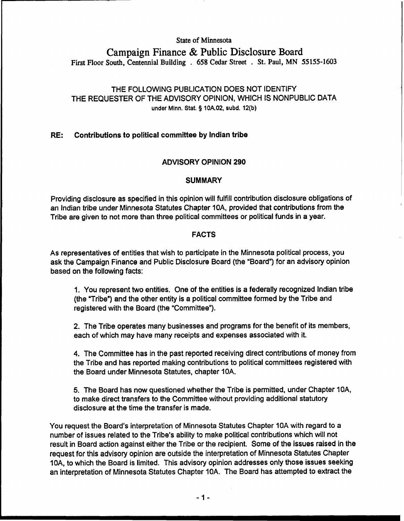# **State of Minnesota Campaign Finance** & **Public Disclosure Board**

**First Floor South, Centennial Building** . **658 Cedar Street** . **St. Paul, MN 55155-1603** 

# THE FOLLOWING PUBLICATION DOES NOT IDENTIFY THE REQUESTER OF THE ADVISORY OPINION, WHICH IS NONPUBLIC DATA **under Minn.** Stat. **S) 10A.02, subd. 12(b)**

# RE: Contributions to political committee by lndian tribe

# ADVISORY OPINION 290

# **SUMMARY**

Providing disclosure as specified in this opinion will fulfill contribution disclosure obligations of an lndian tribe under Minnesota Statutes Chapter IOA, provided that contributions from the Tribe are given to not more than three political committees or political funds in a year.

# FACTS

As representatives of entities that wish to participate in the Minnesota political process, you ask the Campaign Finance and Public Disclosure Board (the "Board") for an advisory opinion based on the following facts:

1. You represent two entities. One of the entities is a federally recognized lndian tribe (the "Tribe") and the other entity is a political committee formed by the Tribe and registered with the Board (the "Committee").

2. The Tribe operates many businesses and programs for the benefit of its members, each of which may have many receipts and expenses associated with it.

4. The Committee has in the past reported receiving direct contributions of money from the Tribe and has reported making contributions to political committees registered with the Board under Minnesota Statutes, chapter 10A.

5. The Board has now questioned whether the Tribe is permitted, under Chapter IOA, to make direct transfers to the Committee without providing additional statutory disclosure at the time the transfer is made.

You request the Board's interpretation of Minnesota Statutes Chapter 10A with regard to a number of issues related to the Tribe's ability to make political contributions which will not result in Board action against either the Tribe or the recipient. Some of the issues raised in the request for this advisory opinion are outside the interpretation of Minnesota Statutes Chapter IOA, to which the Board is limited. This advisory opinion addresses only those issues seeking an interpretation of Minnesota Statutes Chapter 10A. The Board has attempted to extract the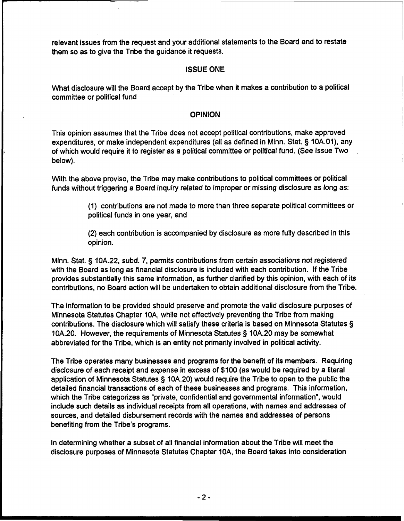relevant issues from the request and your additional statements to the Board and to restate them so as to give the Tribe the guidance it requests.

## ISSUE **ONE**

What disclosure will the Board accept by the Tribe when it makes a contribution to a political committee or political fund

## **OPINION**

This opinion assumes that the Tribe does not accept political contributions, make approved expenditures, or make independent expenditures (all as defined in Minn. Stat. § 10A.01), any of which would require it to register as a political committee or political fund. (See Issue Two below).

With the above proviso, the Tribe may make contributions to political committees or political funds without triggering a Board inquiry related to improper or missing disclosure as long as:

> (1) contributions are not made to more than three separate political committees or political funds in one year, and

(2) each contribution is accompanied by disclosure as more fully described in this opinion.

Minn. Stat. **9** 10A.22, subd. 7, permits contributions from certain associations not registered with the Board as long as financial disclosure is included with each contribution. If the Tribe provides substantially this same information, as further clarified by this opinion, with each of its contributions, no Board action will be undertaken to obtain additional disclosure from the Tribe.

The information to be provided should preserve and promote the valid disclosure purposes of Minnesota Statutes Chapter IOA, while not effectively preventing the Tribe from making contributions. The disclosure which will satisfy these criteria is based on Minnesota Statutes § 10A.20. However, the requirements of Minnesota Statutes **5** 10A.20 may be somewhat abbreviated for the Tribe, which is an entity not primarily involved in political activity.

The Tribe operates many businesses and programs for the benefit of its members. Requiring disclosure of each receipt and expense in excess of \$100 (as would be required by a literal application of Minnesota Statutes § 10A.20) would require the Tribe to open to the public the detailed financial transactions of each of these businesses and programs. This information, which the Tribe categorizes as "private, confidential and governmental information", would include such details as individual receipts from all operations, with names and addresses of sources, and detailed disbursement records with the names and addresses of persons benefiting from the Tribe's programs.

In determining whether a subset of all financial information about the Tribe will meet the disclosure purposes of Minnesota Statutes Chapter 10A, the Board takes into consideration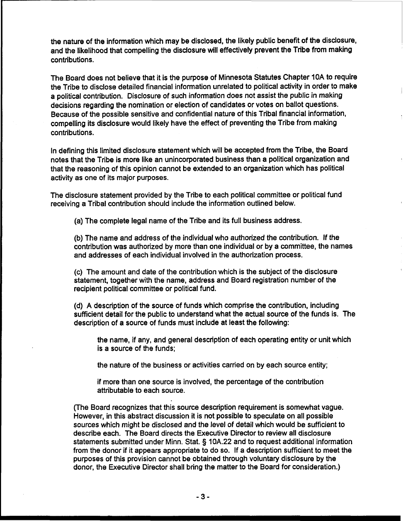the nature of the information which may be disclosed, the likely public benefit of the disclosure, and the likelihood that compelling the disclosure will effectively prevent the Tribe from making contributions.

The Board does not believe that it is the purpose of Minnesota Statutes Chapter **10A** to require the Tribe to disclose detailed financial information unrelated to political activity in order to make a political contribution. Disclosure of such information does not assist the public in making decisions regarding the nomination or election of candidates or votes on ballot questions. Because of the possible sensitive and confidential nature of this Tribal financial information, compelling its disclosure would likely have the effect of preventing the Tribe from making contributions.

In defining this limited disclosure statement which will be accepted from the Tribe, the Board notes that the Tribe is more like an unincorporated business than a political organization and that the reasoning of this opinion cannot be extended to an organization which has political activity as one of its major purposes.

The disclosure statement provided by the Tribe to each political committee or political fund receiving a Tribal contribution should include the information outlined below.

(a) The complete legal name of the Tribe and its full business address.

(b) The name and address of the individual who authorized the contribution. If the contribution was authorized by more than one individual or by a committee, the names and addresses of each individual involved in the authorization process.

(c) The amount and date of the contribution which is the subject of the disclosure statement, together with the name, address and Board registration number of the recipient political committee or political fund.

(d) **A** description of the source of funds which comprise the contribution, including sufficient detail for the public to understand what the actual source of the funds is. The description of a source of funds must include at least the following:

the name, if any, and general description of each operating entity or unit which is a source of the funds;

the nature of the business or activities carried on by each source entity;

if more than one source is involved, the percentage of the contribution attributable to each source.

(The Board recognizes that this source description requirement is somewhat vague. However, in this abstract discussion it is not possible to speculate on all possible sources which might be disclosed and the level of detail which would be sufficient to describe each. The Board directs the Executive Director to review all disclosure statements submitted under Minn. Stat. § **10A.22** and to request additional information from the donor if it appears appropriate to do so. If a description sufficient to meet the purposes of this provision cannot be obtained through voluntary disclosure by the donor, the Executive Director shall bring the matter to the Board for consideration.)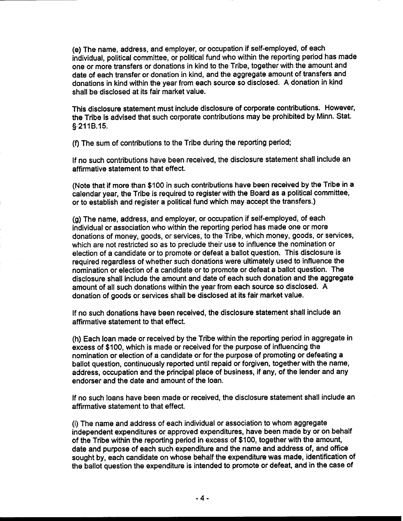(e) The name, address, and employer, or occupation if self-employed, of each individual, political committee, or political fund who within the reporting period has made one or more transfers or donations in kind to the Tribe, together with the amount and date of each transfer or donation in kind, and the aggregate amount of transfers and donations in kind within the year from each source so disclosed. A donation in kind shall be disclosed at its fair market value.

This disclosure statement must include disclosure of corporate contributions. However, the Tribe is advised that such corporate contributions may be prohibited by Minn. Stat. § 211B.15.

(f) The sum of contributions to the Tribe during the reporting period;

If no such contributions have been received, the disclosure statement shall include an affirmative statement to that effect.

(Note that if more than \$100 in such contributions have been received by the Tribe in a calendar year, the Tribe is required to register with the Board as a political committee, or to establish and register a political fund which may accept the transfers.)

(g) The name, address, and employer, or occupation if self-employed, of each individual or association who within the reporting period has made one or more donations of money, goods, or services, to the Tribe, which money, goods, or services, which are not restricted so as to preclude their use to influence the nomination or election of a candidate or to promote or defeat a ballot question. This disclosure is required regardless of whether such donations were ultimately used to influence the nomination or election of a candidate or to promote or defeat a ballot question. The disclosure shall include the amount and date of each such donation and the aggregate amount of all such donations within the year from each source so disclosed. A donation of goods or services shall be disclosed at its fair market value.

If no such donations have been received, the disclosure statement shall include an affirmative statement to that effect.

(h) Each loan made or received by the Tribe within the reporting period in aggregate in excess of \$100, which is made or received for the purpose of influencing the nomination or election of a candidate or for the purpose of promoting or defeating a ballot question, continuously reported until repaid or forgiven, together with the name, address, occupation and the principal place of business, if any, of the lender and any endorser and the date and amount of the loan.

If no such loans have been made or received, the disclosure statement shall include an affirmative statement to that effect.

(i) The name and address of each individual or association to whom aggregate independent expenditures or approved expenditures, have been made by or on behalf of the Tribe within the reporting period in excess of \$100, together with the amount, date and purpose of each such expenditure and the name and address of, and office sought by, each candidate on whose behalf the expenditure was made, identification of the ballot question the expenditure is intended to promote or defeat, and in the case of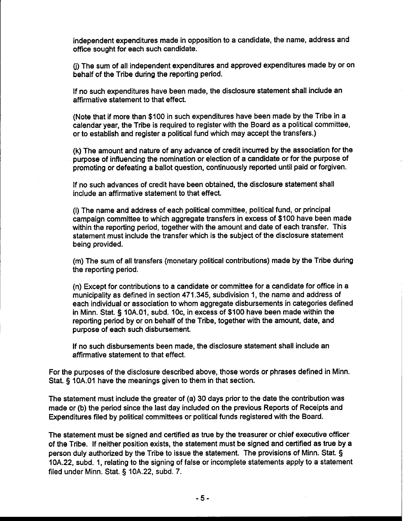independent expenditures made in opposition to a candidate, the name, address and office sought for each such candidate.

**0)** The sum of all independent expenditures and approved expenditures made by or on behalf of the Tribe during the reporting period.

If no such expenditures have been made, the disclosure statement shall include an affirmative statement to that effect.

(Note that if more than \$100 in such expenditures have been made by the Tribe in a calendar year, the Tribe is required to register with the Board as a political committee, or to establish and register a political fund which may accept the transfers.)

(k) The amount and nature of any advance of credit incurred by the association for the purpose of influencing the nomination or election of a candidate or for the purpose of promoting or defeating a ballot question, continuously reported until paid or forgiven.

If no such advances of credit have been obtained, the disclosure statement shall include an affirmative statement to that effect.

(I) The name and address of each political committee, political fund, or principal campaign committee to which aggregate transfers in excess of \$100 have been made within the reporting period, together with the amount and date of each transfer. This statement must include the transfer which is the subject of the disclosure statement being provided.

(m) The sum of all transfers (monetary political contributions) made by the Tribe during the reporting period.

(n) Except for contributions to a candidate or committee for a candidate for office in a municipality as defined in section 471.345, subdivision I, the name and address of each individual or association to whom aggregate disbursements in categories defined in Minn. Stat. § 10A.01, subd. IOc, in excess of \$100 have been made within the reporting period by or on behalf of the Tribe, together with the amount, date, and purpose of each such disbursement.

If no such disbursements been made, the disclosure statement shall include an affirmative statement to that effect.

For the purposes of the disclosure described above, those words or phrases defined in Minn. Stat. § 10A.O1 have the meanings given to them in that section.

The statement must include the greater of (a) 30 days prior to the date the contribution was made or (b) the period since the last day included on the previous Reports of Receipts and Expenditures filed by political committees or political funds registered with the Board.

The statement must be signed and certified as true by the treasurer or chief executive officer of the Tribe. If neither position exists, the statement must be signed and certified as true by a person duly authorized by the Tribe to issue the statement. The provisions of Minn. Stat. § 10A.22, subd. 1, relating to the signing of false or incomplete statements apply to a statement filed under Minn. Stat. § 10A.22, subd. 7.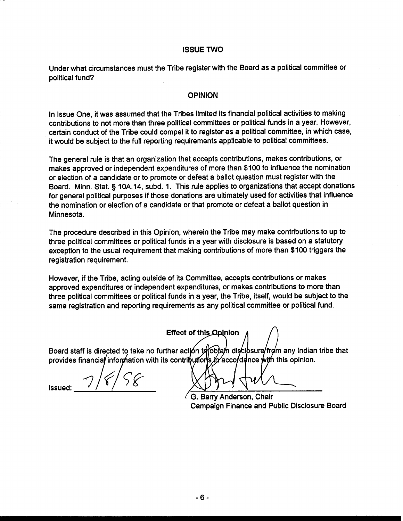#### ISSUE **TWO**

Under what circumstances must the Tribe register with the Board as a political committee or political fund?

#### OPINION

In Issue One, it was assumed that the Tribes limited its financial political activities to making contributions to not more than three political committees or political funds in a year. However, certain conduct of the Tribe could compel it to register as a political committee, in which case, it would be subject to the full reporting requirements applicable to political committees.

The general rule is that an organization that accepts contributions, makes contributions, or makes approved or independent expenditures of more than \$100 to influence the nomination or election of a candidate or to promote or defeat a ballot question must register with the Board. Minn. Stat. § 10A.14, subd. 1. This rule applies to organizations that accept donations for general political purposes if those donations are ultimately used for activities that influence the nomination or election of a candidate or that promote or defeat a ballot question in Minnesota.

The procedure described in this Opinion, wherein the Tribe may make contributions to up to three political committees or political funds in a year with disclosure is based on a statutory exception to the usual requirement that making contributions of more than \$100 triggers the registration requirement.

However, if the Tribe, acting outside of its Committee, accepts contributions or makes approved expenditures or independent expenditures, or makes contributions to more than three political committees or political funds in a year, the Tribe, itself, would be subject to the same registration and reporting requirements as any political committee or political fund.

**Effect of this Opinion** 

Board staff is directed to take no further action to to bay disclosure from any Indian tribe that provides financial information with its contributions in accordance with this opinion.

Issued:

G. Barry Anderson, Chair Campaign Finance and Public Disclosure Board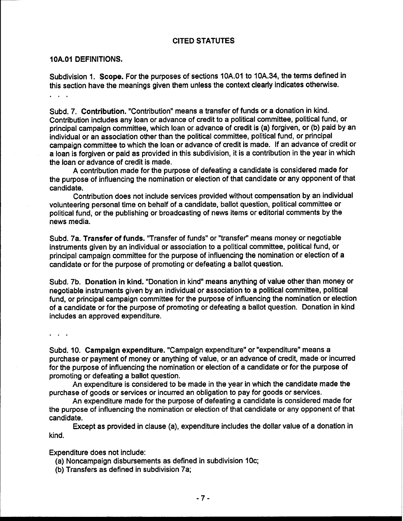## CITED STATUTES

#### **1 OA.01** DEFINITIONS.

Subdivision 1. Scope. For the purposes of sections 10A.O1 to 10A.34, the terms defined in this section have the meanings given them unless the context clearly indicates othewise.  $\mathbb{R}^n$  . The set of  $\mathbb{R}^n$ 

Subd. 7. Contribution. "Contribution" means a transfer of funds or a donation in kind. Contribution includes any loan or advance of credit to a political committee, political fund, or principal campaign committee, which loan or advance of credit is (a) forgiven, or (b) paid by an individual or an association other than the political committee, political fund, or principal campaign committee to which the loan or advance of credit is made. If an advance of credit or a loan is forgiven or paid as provided in this subdivision, it is a contribution in the year in which the loan or advance of credit is made.

A contribution made for the purpose of defeating a candidate is considered made for the purpose of influencing the nomination or election of that candidate or any opponent of that candidate.

Contribution does not include services provided without compensation by an individual volunteering personal time on behalf of a candidate, ballot question, political committee or political fund, or the publishing or broadcasting of news items or editorial comments by the news media.

Subd. 7a. Transfer of funds. "Transfer of funds" or "transfer" means money or negotiable instruments given by an individual or association to a political committee, political fund, or principal campaign committee for the purpose of influencing the nomination or election of a candidate or for the purpose of promoting or defeating a ballot question.

Subd. 7b. Donation in kind. "Donation in kind" means anything of value other than money or negotiable instruments given by an individual or association to a political committee, political fund, or principal campaign committee for the purpose of influencing the nomination or election of a candidate or for the purpose of promoting or defeating a ballot question. Donation in kind includes an approved expenditure.

 $\sim$   $\sim$   $\sim$ 

Subd. 10. Campaign expenditure. "Campaign expenditure" or "expenditure" means a purchase or payment of money or anything of value, or an advance of credit, made or incurred for the purpose of influencing the nomination or election of a candidate or for the purpose of promoting or defeating a ballot question.

An expenditure is considered to be made in the year in which the candidate made the purchase of goods or services or incurred an obligation to pay for goods or services.

An expenditure made for the purpose of defeating a candidate is considered made for the purpose of influencing the nomination or election of that candidate or any opponent of that candidate.

Except as provided in clause (a), expenditure includes the dollar value of a donation in kind.

Expenditure does not include:

(a) Noncampaign disbursements as defined in subdivision 10c;

(b) Transfers as defined in subdivision 7a;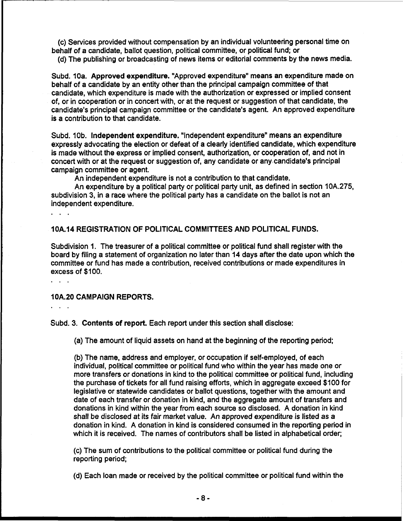(c) Services provided without compensation by an individual volunteering personal time on behalf of **a** candidate, ballot question, political committee, or political fund; or

(d) The publishing or broadcasting of news items or editorial comments by the news media.

Subd. **10a.** Approved expenditure. "Approved expenditure" means an expenditure made on behalf of a candidate by an entity other than the principal campaign committee of that candidate, which expenditure is made with the authorization or expressed or implied consent of, or in cooperation or in concert with, or at the request or suggestion of that candidate, the candidate's principal campaign committee or the candidate's agent. An approved expenditure is a contribution to that candidate.

Subd. 10b. Independent expenditure. "Independent expenditure" means an expenditure expressly advocating the election or defeat of a clearly identified candidate, which expenditure is made without the express or implied consent, authorization, or cooperation of, and not in concert with or at the request or suggestion of, any candidate or any candidate's principal campaign committee or agent.

An independent expenditure is not a contribution to that candidate.

An expenditure by a political party or political party unit, as defined in section 10A.275, subdivision 3, in a race where the political party has a candidate on the ballot is not an independent expenditure.

10A.14 REGISTRATION OF POLITICAL COMMITTEES AND POLITICAL FUNDS.

Subdivision **1.** The treasurer of a political committee or political fund shall register with the board by filing a statement of organization no later than **14** days after the date upon which the committee or fund has made a contribution, received contributions or made expenditures in excess of \$100.

 $\cdots$ 

 $\mathbf{1}$ 

## 10A.20 CAMPAIGN REPORTS.

...

Subd. 3. Contents of report. Each report under this section shall disclose:

(a) The amount of liquid assets on hand at the beginning of the reporting period;

(b) The name, address and employer, or occupation if self-employed, of each individual, political committee or political fund who within the year has made one or more transfers or donations in kind to the political committee or political fund, including the purchase of tickets for all fund raising efforts, which in aggregate exceed \$100 for legislative or statewide candidates or ballot questions, together with the amount and date of each transfer or donation in kind, and the aggregate amount of transfers and donations in kind within the year from each source so disclosed. A donation in kind shall be disclosed at its fair market value. An approved expenditure is listed as a donation in kind. A donation in kind is considered consumed in the reporting period in which it is received. The names of contributors shall be listed in alphabetical order;

(c) The sum of contributions to the political committee or political fund during the reporting period;

(d) Each loan made or received by the political committee or political fund within the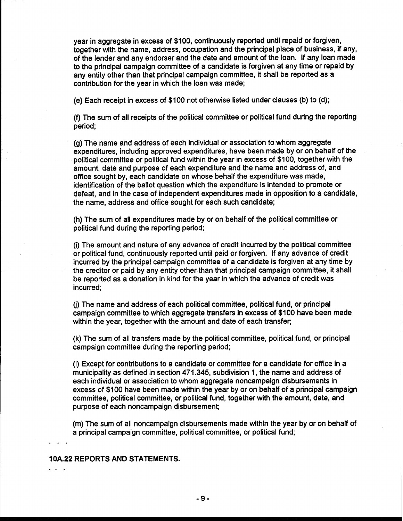year in aggregate in excess of \$100, continuously reported until repaid or forgiven, together with the name, address, occupation and the principal place of business, if any, of the lender and any endorser and the date and amount of the loan. If any loan made to the principal campaign committee of a candidate is forgiven at any time or repaid by any entity other than that principal campaign committee, it shall be reported as a contribution for the year in which the loan was made;

 $\epsilon$ ) Each receipt in excess of \$100 not otherwise listed under clauses (b) to (d);

(f) The sum of all receipts of the political committee or political fund during the reporting period;

(g) The name and address of each individual or association to whom aggregate expenditures, including approved expenditures, have been made by or on behalf of the political committee or political fund within the year in excess of \$100, together with the amount, date and purpose of each expenditure and the name and address of, and office sought by, each candidate on whose behalf the expenditure was made, identification of the ballot question which the expenditure is intended to promote or defeat, and in the case of independent expenditures made in opposition to a candidate, the name, address and office sought for each such candidate;

(h) The sum of all expenditures made by or on behalf of the political committee or political fund during the reporting period;

(i) The amount and nature of any advance of credit incurred by the political committee or political fund, continuously reported until paid or forgiven. If any advance of credit incurred by the principal campaign committee of a candidate is forgiven at any time by the creditor or paid by any entity other than that principal campaign committee, it shall be reported as a donation in kind for the year in which the advance of credit was incurred;

(j) The name and address of each political committee, political fund, or principal campaign committee to which aggregate transfers in excess of \$100 have been made within the year, together with the amount and date of each transfer;

(k) The sum of all transfers made by the political committee, political fund, or principal campaign committee during the reporting period;

(I) Except for contributions to a candidate or committee for a candidate for office in a municipality as defined in section 471.345, subdivision 1, the name and address of each individual or association to whom aggregate noncampaign disbursements in excess of \$100 have been made within the year by or on behalf of a principal campaign committee, political committee, or political fund, together with the amount, date, and purpose of each noncampaign disbursement;

(m) The sum of all noncampaign disbursements made within the year by or on behalf of a principal campaign committee, political committee, or political fund;

#### **10A.22 REPORTS AND STATEMENTS.**